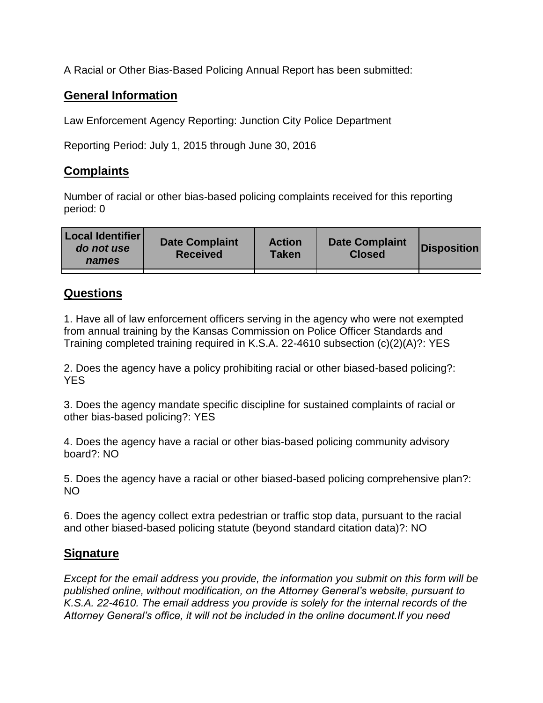A Racial or Other Bias-Based Policing Annual Report has been submitted:

## **General Information**

Law Enforcement Agency Reporting: Junction City Police Department

Reporting Period: July 1, 2015 through June 30, 2016

## **Complaints**

Number of racial or other bias-based policing complaints received for this reporting period: 0

| <b>Local Identifier</b><br>do not use<br>names | <b>Date Complaint</b><br><b>Received</b> | <b>Action</b><br><b>Taken</b> | <b>Date Complaint</b><br><b>Closed</b> | Disposition |
|------------------------------------------------|------------------------------------------|-------------------------------|----------------------------------------|-------------|
|                                                |                                          |                               |                                        |             |

## **Questions**

1. Have all of law enforcement officers serving in the agency who were not exempted from annual training by the Kansas Commission on Police Officer Standards and Training completed training required in K.S.A. 22-4610 subsection (c)(2)(A)?: YES

2. Does the agency have a policy prohibiting racial or other biased-based policing?: YES

3. Does the agency mandate specific discipline for sustained complaints of racial or other bias-based policing?: YES

4. Does the agency have a racial or other bias-based policing community advisory board?: NO

5. Does the agency have a racial or other biased-based policing comprehensive plan?: NO

6. Does the agency collect extra pedestrian or traffic stop data, pursuant to the racial and other biased-based policing statute (beyond standard citation data)?: NO

## **Signature**

*Except for the email address you provide, the information you submit on this form will be published online, without modification, on the Attorney General's website, pursuant to K.S.A. 22-4610. The email address you provide is solely for the internal records of the Attorney General's office, it will not be included in the online document.If you need*